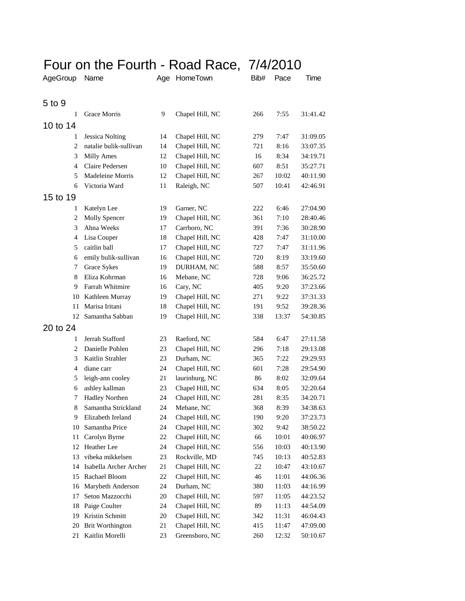## Four on the Fourth - Road Race, 7/4/2010

| AgeGroup       | Name                    | Age | HomeTown        | Bib# | Pace  | Time     |
|----------------|-------------------------|-----|-----------------|------|-------|----------|
| 5 to 9         |                         |     |                 |      |       |          |
| 1              | Grace Morris            | 9   | Chapel Hill, NC | 266  | 7:55  | 31:41.42 |
| 10 to 14       |                         |     |                 |      |       |          |
| 1              | <b>Jessica Nolting</b>  | 14  | Chapel Hill, NC | 279  | 7:47  | 31:09.05 |
| $\overline{c}$ | natalie bulik-sullivan  | 14  | Chapel Hill, NC | 721  | 8:16  | 33:07.35 |
| 3              | <b>Milly Ames</b>       | 12  | Chapel Hill, NC | 16   | 8:34  | 34:19.71 |
| 4              | Claire Pedersen         | 10  | Chapel Hill, NC | 607  | 8:51  | 35:27.71 |
| 5              | Madeleine Morris        | 12  | Chapel Hill, NC | 267  | 10:02 | 40:11.90 |
| 6              | Victoria Ward           | 11  | Raleigh, NC     | 507  | 10:41 | 42:46.91 |
| 15 to 19       |                         |     |                 |      |       |          |
| 1              | Katelyn Lee             | 19  | Garner, NC      | 222  | 6:46  | 27:04.90 |
| $\overline{2}$ | <b>Molly Spencer</b>    | 19  | Chapel Hill, NC | 361  | 7:10  | 28:40.46 |
| 3              | Ahna Weeks              | 17  | Carrboro, NC    | 391  | 7:36  | 30:28.90 |
| 4              | Lisa Couper             | 18  | Chapel Hill, NC | 428  | 7:47  | 31:10.00 |
| 5              | caitlin ball            | 17  | Chapel Hill, NC | 727  | 7:47  | 31:11.96 |
| 6              | emily bulik-sullivan    | 16  | Chapel Hill, NC | 720  | 8:19  | 33:19.60 |
| 7              | Grace Sykes             | 19  | DURHAM, NC      | 588  | 8:57  | 35:50.60 |
| 8              | Eliza Kohrman           | 16  | Mebane, NC      | 728  | 9:06  | 36:25.72 |
| 9              | Farrah Whitmire         | 16  | Cary, NC        | 405  | 9:20  | 37:23.66 |
| 10             | Kathleen Murray         | 19  | Chapel Hill, NC | 271  | 9:22  | 37:31.33 |
| 11             | Marisa Iritani          | 18  | Chapel Hill, NC | 191  | 9:52  | 39:28.36 |
| 12             | Samantha Sabban         | 19  | Chapel Hill, NC | 338  | 13:37 | 54:30.85 |
| 20 to 24       |                         |     |                 |      |       |          |
| 1              | Jerrah Stafford         | 23  | Raeford, NC     | 584  | 6:47  | 27:11.58 |
| 2              | Danielle Pohlen         | 23  | Chapel Hill, NC | 296  | 7:18  | 29:13.08 |
| 3              | Kaitlin Strahler        | 23  | Durham, NC      | 365  | 7:22  | 29:29.93 |
| $\overline{4}$ | diane carr              | 24  | Chapel Hill, NC | 601  | 7:28  | 29:54.90 |
| 5              | leigh-ann cooley        | 21  | laurinburg, NC  | 86   | 8:02  | 32:09.64 |
| 6              | ashley kallman          | 23  | Chapel Hill, NC | 634  | 8:05  | 32:20.64 |
| 7              | <b>Hadley Northen</b>   | 24  | Chapel Hill, NC | 281  | 8:35  | 34:20.71 |
| 8              | Samantha Strickland     | 24  | Mebane, NC      | 368  | 8:39  | 34:38.63 |
| 9              | Elizabeth Ireland       | 24  | Chapel Hill, NC | 190  | 9:20  | 37:23.73 |
| 10             | Samantha Price          | 24  | Chapel Hill, NC | 302  | 9:42  | 38:50.22 |
| 11             | Carolyn Byrne           | 22  | Chapel Hill, NC | 66   | 10:01 | 40:06.97 |
| 12             | Heather Lee             | 24  | Chapel Hill, NC | 556  | 10:03 | 40:13.90 |
| 13             | vibeka mikkelsen        | 23  | Rockville, MD   | 745  | 10:13 | 40:52.83 |
| 14             | Isabella Archer Archer  | 21  | Chapel Hill, NC | 22   | 10:47 | 43:10.67 |
| 15             | Rachael Bloom           | 22  | Chapel Hill, NC | 46   | 11:01 | 44:06.36 |
| 16             | Marybeth Anderson       | 24  | Durham, NC      | 380  | 11:03 | 44:16.99 |
| 17             | Seton Mazzocchi         | 20  | Chapel Hill, NC | 597  | 11:05 | 44:23.52 |
| 18             | Paige Coulter           | 24  | Chapel Hill, NC | 89   | 11:13 | 44:54.09 |
| 19             | Kristin Schmitt         | 20  | Chapel Hill, NC | 342  | 11:31 | 46:04.43 |
| 20             | <b>Brit Worthington</b> | 21  | Chapel Hill, NC | 415  | 11:47 | 47:09.00 |
| 21             | Kaitlin Morelli         | 23  | Greensboro, NC  | 260  | 12:32 | 50:10.67 |
|                |                         |     |                 |      |       |          |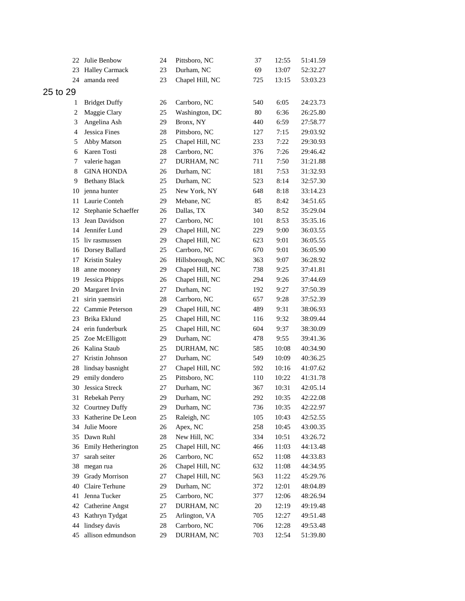| 22             | Julie Benbow           | 24 | Pittsboro, NC    | 37  | 12:55 | 51:41.59 |
|----------------|------------------------|----|------------------|-----|-------|----------|
| 23             | <b>Halley Carmack</b>  | 23 | Durham, NC       | 69  | 13:07 | 52:32.27 |
| 24             | amanda reed            | 23 | Chapel Hill, NC  | 725 | 13:15 | 53:03.23 |
| 25 to 29       |                        |    |                  |     |       |          |
| 1              | <b>Bridget Duffy</b>   | 26 | Carrboro, NC     | 540 | 6:05  | 24:23.73 |
| $\overline{c}$ | Maggie Clary           | 25 | Washington, DC   | 80  | 6:36  | 26:25.80 |
| 3              | Angelina Ash           | 29 | Bronx, NY        | 440 | 6:59  | 27:58.77 |
| $\overline{4}$ | Jessica Fines          | 28 | Pittsboro, NC    | 127 | 7:15  | 29:03.92 |
| 5              | Abby Matson            | 25 | Chapel Hill, NC  | 233 | 7:22  | 29:30.93 |
| 6              | Karen Tosti            | 28 | Carrboro, NC     | 376 | 7:26  | 29:46.42 |
| 7              | valerie hagan          | 27 | DURHAM, NC       | 711 | 7:50  | 31:21.88 |
| 8              | <b>GINA HONDA</b>      | 26 | Durham, NC       | 181 | 7:53  | 31:32.93 |
| 9              | <b>Bethany Black</b>   | 25 | Durham, NC       | 523 | 8:14  | 32:57.30 |
| 10             | jenna hunter           | 25 | New York, NY     | 648 | 8:18  | 33:14.23 |
| 11             | Laurie Conteh          | 29 | Mebane, NC       | 85  | 8:42  | 34:51.65 |
| 12             | Stephanie Schaeffer    | 26 | Dallas, TX       | 340 | 8:52  | 35:29.04 |
| 13             | Jean Davidson          | 27 | Carrboro, NC     | 101 | 8:53  | 35:35.16 |
| 14             | Jennifer Lund          | 29 | Chapel Hill, NC  | 229 | 9:00  | 36:03.55 |
| 15             | liv rasmussen          | 29 | Chapel Hill, NC  | 623 | 9:01  | 36:05.55 |
| 16             | Dorsey Ballard         | 25 | Carrboro, NC     | 670 | 9:01  | 36:05.90 |
| 17             | Kristin Staley         | 26 | Hillsborough, NC | 363 | 9:07  | 36:28.92 |
| 18             | anne mooney            | 29 | Chapel Hill, NC  | 738 | 9:25  | 37:41.81 |
| 19             | Jessica Phipps         | 26 | Chapel Hill, NC  | 294 | 9:26  | 37:44.69 |
| 20             | Margaret Irvin         | 27 | Durham, NC       | 192 | 9:27  | 37:50.39 |
| 21             | sirin yaemsiri         | 28 | Carrboro, NC     | 657 | 9:28  | 37:52.39 |
| 22             | Cammie Peterson        | 29 | Chapel Hill, NC  | 489 | 9:31  | 38:06.93 |
| 23             | Brika Eklund           | 25 | Chapel Hill, NC  | 116 | 9:32  | 38:09.44 |
| 24             | erin funderburk        | 25 | Chapel Hill, NC  | 604 | 9:37  | 38:30.09 |
| 25             | Zoe McElligott         | 29 | Durham, NC       | 478 | 9:55  | 39:41.36 |
| 26             | Kalina Staub           | 25 | DURHAM, NC       | 585 | 10:08 | 40:34.90 |
| 27             | Kristin Johnson        | 27 | Durham, NC       | 549 | 10:09 | 40:36.25 |
| 28             | lindsay basnight       | 27 | Chapel Hill, NC  | 592 | 10:16 | 41:07.62 |
| 29             | emily dondero          | 25 | Pittsboro, NC    | 110 | 10:22 | 41:31.78 |
|                | 30 Jessica Streck      | 27 | Durham, NC       | 367 | 10:31 | 42:05.14 |
| 31             | Rebekah Perry          | 29 | Durham, NC       | 292 | 10:35 | 42:22.08 |
| 32             | <b>Courtney Duffy</b>  | 29 | Durham, NC       | 736 | 10:35 | 42:22.97 |
| 33             | Katherine De Leon      | 25 | Raleigh, NC      | 105 | 10:43 | 42:52.55 |
| 34             | Julie Moore            | 26 | Apex, NC         | 258 | 10:45 | 43:00.35 |
| 35             | Dawn Ruhl              | 28 | New Hill, NC     | 334 | 10:51 | 43:26.72 |
| 36             | Emily Hetherington     | 25 | Chapel Hill, NC  | 466 | 11:03 | 44:13.48 |
| 37             | sarah seiter           | 26 | Carrboro, NC     | 652 | 11:08 | 44:33.83 |
| 38             | megan rua              | 26 | Chapel Hill, NC  | 632 | 11:08 | 44:34.95 |
| 39             | <b>Grady Morrison</b>  | 27 | Chapel Hill, NC  | 563 | 11:22 | 45:29.76 |
| 40             | Claire Terhune         | 29 | Durham, NC       | 372 | 12:01 | 48:04.89 |
| 41             | Jenna Tucker           | 25 | Carrboro, NC     | 377 | 12:06 | 48:26.94 |
| 42             | <b>Catherine Angst</b> | 27 | DURHAM, NC       | 20  | 12:19 | 49:19.48 |
| 43             | Kathryn Tydgat         | 25 | Arlington, VA    | 705 | 12:27 | 49:51.48 |
| 44             | lindsey davis          | 28 | Carrboro, NC     | 706 | 12:28 | 49:53.48 |
| 45             | allison edmundson      | 29 | DURHAM, NC       | 703 | 12:54 | 51:39.80 |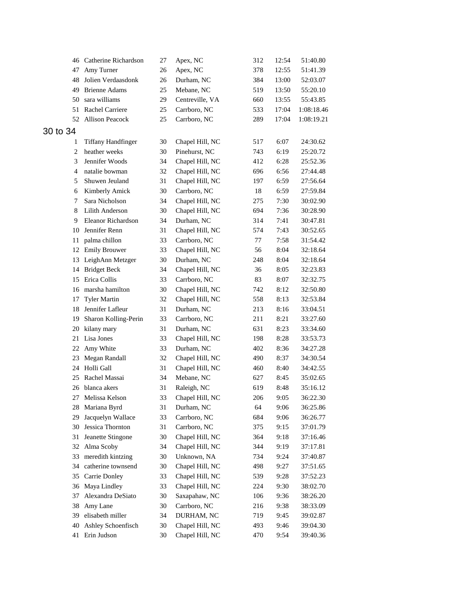|                | 46 Catherine Richardson   | 27 | Apex, NC        | 312 | 12:54 | 51:40.80   |
|----------------|---------------------------|----|-----------------|-----|-------|------------|
| 47             | Amy Turner                | 26 | Apex, NC        | 378 | 12:55 | 51:41.39   |
| 48             | Jolien Verdaasdonk        | 26 | Durham, NC      | 384 | 13:00 | 52:03.07   |
| 49             | <b>Brienne Adams</b>      | 25 | Mebane, NC      | 519 | 13:50 | 55:20.10   |
| 50             | sara williams             | 29 | Centreville, VA | 660 | 13:55 | 55:43.85   |
| 51             | Rachel Carriere           | 25 | Carrboro, NC    | 533 | 17:04 | 1:08:18.46 |
| 52             | Allison Peacock           | 25 | Carrboro, NC    | 289 | 17:04 | 1:08:19.21 |
| 30 to 34       |                           |    |                 |     |       |            |
| 1              | <b>Tiffany Handfinger</b> | 30 | Chapel Hill, NC | 517 | 6:07  | 24:30.62   |
| $\overline{c}$ | heather weeks             | 30 | Pinehurst, NC   | 743 | 6:19  | 25:20.72   |
| 3              | Jennifer Woods            | 34 | Chapel Hill, NC | 412 | 6:28  | 25:52.36   |
| $\overline{4}$ | natalie bowman            | 32 | Chapel Hill, NC | 696 | 6:56  | 27:44.48   |
| 5              | Shuwen Jeuland            | 31 | Chapel Hill, NC | 197 | 6:59  | 27:56.64   |
| 6              | Kimberly Amick            | 30 | Carrboro, NC    | 18  | 6:59  | 27:59.84   |
| 7              | Sara Nicholson            | 34 | Chapel Hill, NC | 275 | 7:30  | 30:02.90   |
| 8              | Lilith Anderson           | 30 | Chapel Hill, NC | 694 | 7:36  | 30:28.90   |
| 9              | Eleanor Richardson        | 34 | Durham, NC      | 314 | 7:41  | 30:47.81   |
| 10             | Jennifer Renn             | 31 | Chapel Hill, NC | 574 | 7:43  | 30:52.65   |
| 11             | palma chillon             | 33 | Carrboro, NC    | 77  | 7:58  | 31:54.42   |
| 12             | <b>Emily Brouwer</b>      | 33 | Chapel Hill, NC | 56  | 8:04  | 32:18.64   |
| 13             | LeighAnn Metzger          | 30 | Durham, NC      | 248 | 8:04  | 32:18.64   |
| 14             | <b>Bridget Beck</b>       | 34 | Chapel Hill, NC | 36  | 8:05  | 32:23.83   |
| 15             | Erica Collis              | 33 | Carrboro, NC    | 83  | 8:07  | 32:32.75   |
| 16             | marsha hamilton           | 30 | Chapel Hill, NC | 742 | 8:12  | 32:50.80   |
| 17             | <b>Tyler Martin</b>       | 32 | Chapel Hill, NC | 558 | 8:13  | 32:53.84   |
| 18             | Jennifer Lafleur          | 31 | Durham, NC      | 213 | 8:16  | 33:04.51   |
| 19             | Sharon Kolling-Perin      | 33 | Carrboro, NC    | 211 | 8:21  | 33:27.60   |
| 20             | kilany mary               | 31 | Durham, NC      | 631 | 8:23  | 33:34.60   |
| 21             | Lisa Jones                | 33 | Chapel Hill, NC | 198 | 8:28  | 33:53.73   |
| 22             | Amy White                 | 33 | Durham, NC      | 402 | 8:36  | 34:27.28   |
| 23             | Megan Randall             | 32 | Chapel Hill, NC | 490 | 8:37  | 34:30.54   |
| 24             | Holli Gall                | 31 | Chapel Hill, NC | 460 | 8:40  | 34:42.55   |
| 25             | Rachel Massai             | 34 | Mebane, NC      | 627 | 8:45  | 35:02.65   |
|                | 26 blanca akers           | 31 | Raleigh, NC     | 619 | 8:48  | 35:16.12   |
|                | 27 Melissa Kelson         | 33 | Chapel Hill, NC | 206 | 9:05  | 36:22.30   |
| 28             | Mariana Byrd              | 31 | Durham, NC      | 64  | 9:06  | 36:25.86   |
| 29             | Jacquelyn Wallace         | 33 | Carrboro, NC    | 684 | 9:06  | 36:26.77   |
| 30             | Jessica Thornton          | 31 | Carrboro, NC    | 375 | 9:15  | 37:01.79   |
| 31             | Jeanette Stingone         | 30 | Chapel Hill, NC | 364 | 9:18  | 37:16.46   |
| 32             | Alma Scoby                | 34 | Chapel Hill, NC | 344 | 9:19  | 37:17.81   |
| 33             | meredith kintzing         | 30 | Unknown, NA     | 734 | 9:24  | 37:40.87   |
| 34             | catherine townsend        | 30 | Chapel Hill, NC | 498 | 9:27  | 37:51.65   |
| 35             | Carrie Donley             | 33 | Chapel Hill, NC | 539 | 9:28  | 37:52.23   |
| 36             | Maya Lindley              | 33 | Chapel Hill, NC | 224 | 9:30  | 38:02.70   |
| 37             | Alexandra DeSiato         | 30 | Saxapahaw, NC   | 106 | 9:36  | 38:26.20   |
| 38             | Amy Lane                  | 30 | Carrboro, NC    | 216 | 9:38  | 38:33.09   |
| 39             | elisabeth miller          | 34 | DURHAM, NC      | 719 | 9:45  | 39:02.87   |
| 40             | Ashley Schoenfisch        | 30 | Chapel Hill, NC | 493 | 9:46  | 39:04.30   |
| 41             | Erin Judson               | 30 | Chapel Hill, NC | 470 | 9:54  | 39:40.36   |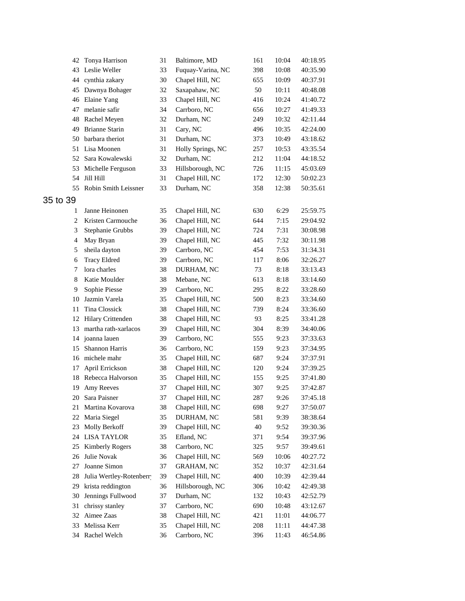|                | 42 Tonya Harrison       | 31 | Baltimore, MD     | 161 | 10:04 | 40:18.95 |
|----------------|-------------------------|----|-------------------|-----|-------|----------|
| 43             | Leslie Weller           | 33 | Fuquay-Varina, NC | 398 | 10:08 | 40:35.90 |
| 44             | cynthia zakary          | 30 | Chapel Hill, NC   | 655 | 10:09 | 40:37.91 |
| 45             | Dawnya Bohager          | 32 | Saxapahaw, NC     | 50  | 10:11 | 40:48.08 |
|                | 46 Elaine Yang          | 33 | Chapel Hill, NC   | 416 | 10:24 | 41:40.72 |
| 47             | melanie safir           | 34 | Carrboro, NC      | 656 | 10:27 | 41:49.33 |
| 48             | Rachel Meyen            | 32 | Durham, NC        | 249 | 10:32 | 42:11.44 |
| 49             | <b>Brianne Starin</b>   | 31 | Cary, NC          | 496 | 10:35 | 42:24.00 |
| 50             | barbara theriot         | 31 | Durham, NC        | 373 | 10:49 | 43:18.62 |
| 51             | Lisa Moonen             | 31 | Holly Springs, NC | 257 | 10:53 | 43:35.54 |
| 52             | Sara Kowalewski         | 32 | Durham, NC        | 212 | 11:04 | 44:18.52 |
| 53             | Michelle Ferguson       | 33 | Hillsborough, NC  | 726 | 11:15 | 45:03.69 |
| 54             | Jill Hill               | 31 | Chapel Hill, NC   | 172 | 12:30 | 50:02.23 |
| 55             | Robin Smith Leissner    | 33 | Durham, NC        | 358 | 12:38 | 50:35.61 |
| 35 to 39       |                         |    |                   |     |       |          |
| 1              | Janne Heinonen          | 35 | Chapel Hill, NC   | 630 | 6:29  | 25:59.75 |
| $\overline{c}$ | Kristen Carmouche       | 36 | Chapel Hill, NC   | 644 | 7:15  | 29:04.92 |
| 3              | Stephanie Grubbs        | 39 | Chapel Hill, NC   | 724 | 7:31  | 30:08.98 |
| 4              | May Bryan               | 39 | Chapel Hill, NC   | 445 | 7:32  | 30:11.98 |
| 5              | sheila dayton           | 39 | Carrboro, NC      | 454 | 7:53  | 31:34.31 |
| 6              | <b>Tracy Eldred</b>     | 39 | Carrboro, NC      | 117 | 8:06  | 32:26.27 |
| 7              | lora charles            | 38 | DURHAM, NC        | 73  | 8:18  | 33:13.43 |
| 8              | Katie Moulder           | 38 | Mebane, NC        | 613 | 8:18  | 33:14.60 |
| 9              | Sophie Piesse           | 39 | Carrboro, NC      | 295 | 8:22  | 33:28.60 |
| 10             | Jazmin Varela           | 35 | Chapel Hill, NC   | 500 | 8:23  | 33:34.60 |
| 11             | Tina Clossick           | 38 | Chapel Hill, NC   | 739 | 8:24  | 33:36.60 |
| 12             | Hilary Crittenden       | 38 | Chapel Hill, NC   | 93  | 8:25  | 33:41.28 |
| 13             | martha rath-xarlacos    | 39 | Chapel Hill, NC   | 304 | 8:39  | 34:40.06 |
| 14             | joanna lauen            | 39 | Carrboro, NC      | 555 | 9:23  | 37:33.63 |
| 15             | Shannon Harris          | 36 | Carrboro, NC      | 159 | 9:23  | 37:34.95 |
| 16             | michele mahr            | 35 | Chapel Hill, NC   | 687 | 9:24  | 37:37.91 |
| 17             | April Errickson         | 38 | Chapel Hill, NC   | 120 | 9:24  | 37:39.25 |
|                | 18 Rebecca Halvorson    | 35 | Chapel Hill, NC   | 155 | 9:25  | 37:41.80 |
|                | 19 Amy Reeves           | 37 | Chapel Hill, NC   | 307 | 9:25  | 37:42.87 |
|                | 20 Sara Paisner         | 37 | Chapel Hill, NC   | 287 | 9:26  | 37:45.18 |
| 21             | Martina Kovarova        | 38 | Chapel Hill, NC   | 698 | 9:27  | 37:50.07 |
| 22             | Maria Siegel            | 35 | DURHAM, NC        | 581 | 9:39  | 38:38.64 |
| 23             | Molly Berkoff           | 39 | Chapel Hill, NC   | 40  | 9:52  | 39:30.36 |
| 24             | <b>LISA TAYLOR</b>      | 35 | Efland, NC        | 371 | 9:54  | 39:37.96 |
| 25             | <b>Kimberly Rogers</b>  | 38 | Carrboro, NC      | 325 | 9:57  | 39:49.61 |
| 26             | Julie Novak             | 36 | Chapel Hill, NC   | 569 | 10:06 | 40:27.72 |
| 27             | Joanne Simon            | 37 | <b>GRAHAM, NC</b> | 352 | 10:37 | 42:31.64 |
| 28             | Julia Wertley-Rotenberr | 39 | Chapel Hill, NC   | 400 | 10:39 | 42:39.44 |
| 29             | krista reddington       | 36 | Hillsborough, NC  | 306 | 10:42 | 42:49.38 |
| 30             | Jennings Fullwood       | 37 | Durham, NC        | 132 | 10:43 | 42:52.79 |
| 31             | chrissy stanley         | 37 | Carrboro, NC      | 690 | 10:48 | 43:12.67 |
| 32             | Aimee Zaas              | 38 | Chapel Hill, NC   | 421 | 11:01 | 44:06.77 |
| 33             | Melissa Kerr            | 35 | Chapel Hill, NC   | 208 | 11:11 | 44:47.38 |
| 34             | Rachel Welch            | 36 | Carrboro, NC      | 396 | 11:43 | 46:54.86 |
|                |                         |    |                   |     |       |          |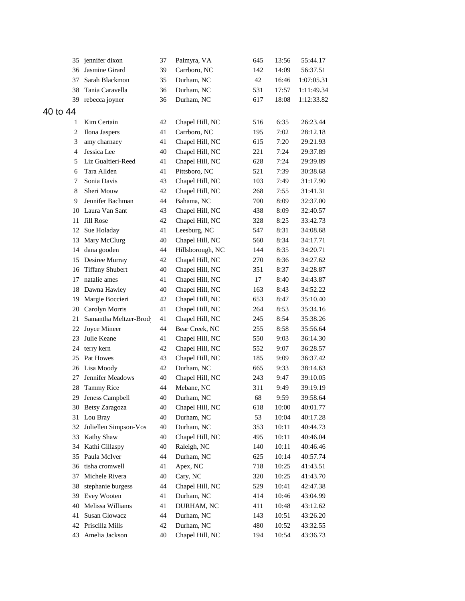| 35             | jennifer dixon         | 37 | Palmyra, VA      | 645 | 13:56 | 55:44.17   |
|----------------|------------------------|----|------------------|-----|-------|------------|
| 36             | Jasmine Girard         | 39 | Carrboro, NC     | 142 | 14:09 | 56:37.51   |
| 37             | Sarah Blackmon         | 35 | Durham, NC       | 42  | 16:46 | 1:07:05.31 |
| 38             | Tania Caravella        | 36 | Durham, NC       | 531 | 17:57 | 1:11:49.34 |
| 39             | rebecca joyner         | 36 | Durham, NC       | 617 | 18:08 | 1:12:33.82 |
| 40 to 44       |                        |    |                  |     |       |            |
| 1              | Kim Certain            | 42 | Chapel Hill, NC  | 516 | 6:35  | 26:23.44   |
| $\overline{c}$ | Ilona Jaspers          | 41 | Carrboro, NC     | 195 | 7:02  | 28:12.18   |
| 3              | amy charnaey           | 41 | Chapel Hill, NC  | 615 | 7:20  | 29:21.93   |
| 4              | Jessica Lee            | 40 | Chapel Hill, NC  | 221 | 7:24  | 29:37.89   |
| 5              | Liz Gualtieri-Reed     | 41 | Chapel Hill, NC  | 628 | 7:24  | 29:39.89   |
| 6              | Tara Allden            | 41 | Pittsboro, NC    | 521 | 7:39  | 30:38.68   |
| 7              | Sonia Davis            | 43 | Chapel Hill, NC  | 103 | 7:49  | 31:17.90   |
| 8              | Sheri Mouw             | 42 | Chapel Hill, NC  | 268 | 7:55  | 31:41.31   |
| 9              | Jennifer Bachman       | 44 | Bahama, NC       | 700 | 8:09  | 32:37.00   |
| 10             | Laura Van Sant         | 43 | Chapel Hill, NC  | 438 | 8:09  | 32:40.57   |
| 11             | Jill Rose              | 42 | Chapel Hill, NC  | 328 | 8:25  | 33:42.73   |
| 12             | Sue Holaday            | 41 | Leesburg, NC     | 547 | 8:31  | 34:08.68   |
| 13             | Mary McClurg           | 40 | Chapel Hill, NC  | 560 | 8:34  | 34:17.71   |
| 14             | dana gooden            | 44 | Hillsborough, NC | 144 | 8:35  | 34:20.71   |
| 15             | Desiree Murray         | 42 | Chapel Hill, NC  | 270 | 8:36  | 34:27.62   |
| 16             | <b>Tiffany Shubert</b> | 40 | Chapel Hill, NC  | 351 | 8:37  | 34:28.87   |
| 17             | natalie ames           | 41 | Chapel Hill, NC  | 17  | 8:40  | 34:43.87   |
| 18             | Dawna Hawley           | 40 | Chapel Hill, NC  | 163 | 8:43  | 34:52.22   |
| 19             | Margie Boccieri        | 42 | Chapel Hill, NC  | 653 | 8:47  | 35:10.40   |
| 20             | Carolyn Morris         | 41 | Chapel Hill, NC  | 264 | 8:53  | 35:34.16   |
| 21             | Samantha Meltzer-Brody | 41 | Chapel Hill, NC  | 245 | 8:54  | 35:38.26   |
| 22             | Joyce Mineer           | 44 | Bear Creek, NC   | 255 | 8:58  | 35:56.64   |
| 23             | Julie Keane            | 41 | Chapel Hill, NC  | 550 | 9:03  | 36:14.30   |
| 24             | terry kern             | 42 | Chapel Hill, NC  | 552 | 9:07  | 36:28.57   |
| 25             | Pat Howes              | 43 | Chapel Hill, NC  | 185 | 9:09  | 36:37.42   |
| 26             | Lisa Moody             | 42 | Durham, NC       | 665 | 9:33  | 38:14.63   |
| 27             | Jennifer Meadows       | 40 | Chapel Hill, NC  | 243 | 9:47  | 39:10.05   |
|                | 28 Tammy Rice          | 44 | Mebane, NC       | 311 | 9:49  | 39:19.19   |
|                | 29 Jeness Campbell     | 40 | Durham, NC       | 68  | 9:59  | 39:58.64   |
|                | 30 Betsy Zaragoza      | 40 | Chapel Hill, NC  | 618 | 10:00 | 40:01.77   |
| 31             | Lou Bray               | 40 | Durham, NC       | 53  | 10:04 | 40:17.28   |
| 32             | Juliellen Simpson-Vos  | 40 | Durham, NC       | 353 | 10:11 | 40:44.73   |
| 33             | Kathy Shaw             | 40 | Chapel Hill, NC  | 495 | 10:11 | 40:46.04   |
| 34             | Kathi Gillaspy         | 40 | Raleigh, NC      | 140 | 10:11 | 40:46.46   |
| 35             | Paula McIver           | 44 | Durham, NC       | 625 | 10:14 | 40:57.74   |
| 36             | tisha cromwell         | 41 | Apex, NC         | 718 | 10:25 | 41:43.51   |
| 37             | Michele Rivera         | 40 | Cary, NC         | 320 | 10:25 | 41:43.70   |
| 38             | stephanie burgess      | 44 | Chapel Hill, NC  | 529 | 10:41 | 42:47.38   |
| 39             | Evey Wooten            | 41 | Durham, NC       | 414 | 10:46 | 43:04.99   |
| 40             | Melissa Williams       | 41 | DURHAM, NC       | 411 | 10:48 | 43:12.62   |
| 41             | Susan Glowacz          | 44 | Durham, NC       | 143 | 10:51 | 43:26.20   |
| 42             | Priscilla Mills        | 42 | Durham, NC       | 480 | 10:52 | 43:32.55   |
| 43             | Amelia Jackson         | 40 | Chapel Hill, NC  | 194 | 10:54 | 43:36.73   |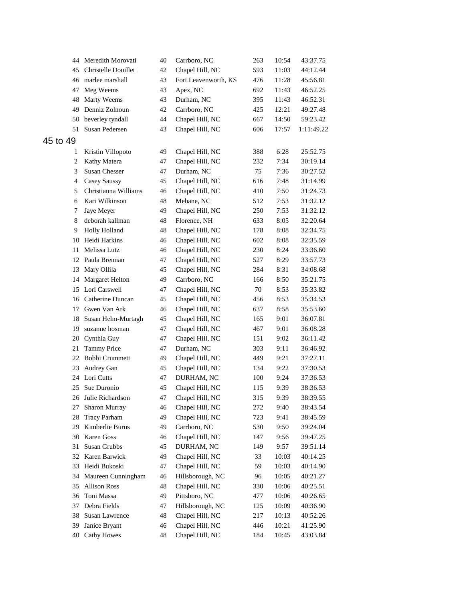| 44             | Meredith Morovati    | 40 | Carrboro, NC         | 263 | 10:54 | 43:37.75   |
|----------------|----------------------|----|----------------------|-----|-------|------------|
| 45             | Christelle Douillet  | 42 | Chapel Hill, NC      | 593 | 11:03 | 44:12.44   |
| 46             | marlee marshall      | 43 | Fort Leavenworth, KS | 476 | 11:28 | 45:56.81   |
| 47             | Meg Weems            | 43 | Apex, NC             | 692 | 11:43 | 46:52.25   |
| 48             | Marty Weems          | 43 | Durham, NC           | 395 | 11:43 | 46:52.31   |
| 49             | Denniz Zolnoun       | 42 | Carrboro, NC         | 425 | 12:21 | 49:27.48   |
| 50             | beverley tyndall     | 44 | Chapel Hill, NC      | 667 | 14:50 | 59:23.42   |
| 51             | Susan Pedersen       | 43 | Chapel Hill, NC      | 606 | 17:57 | 1:11:49.22 |
| 45 to 49       |                      |    |                      |     |       |            |
| 1              | Kristin Villopoto    | 49 | Chapel Hill, NC      | 388 | 6:28  | 25:52.75   |
| 2              | Kathy Matera         | 47 | Chapel Hill, NC      | 232 | 7:34  | 30:19.14   |
| 3              | Susan Chesser        | 47 | Durham, NC           | 75  | 7:36  | 30:27.52   |
| $\overline{4}$ | Casey Saussy         | 45 | Chapel Hill, NC      | 616 | 7:48  | 31:14.99   |
| 5              | Christianna Williams | 46 | Chapel Hill, NC      | 410 | 7:50  | 31:24.73   |
| 6              | Kari Wilkinson       | 48 | Mebane, NC           | 512 | 7:53  | 31:32.12   |
| 7              | Jaye Meyer           | 49 | Chapel Hill, NC      | 250 | 7:53  | 31:32.12   |
| 8              | deborah kallman      | 48 | Florence, NH         | 633 | 8:05  | 32:20.64   |
| 9              | <b>Holly Holland</b> | 48 | Chapel Hill, NC      | 178 | 8:08  | 32:34.75   |
| 10             | Heidi Harkins        | 46 | Chapel Hill, NC      | 602 | 8:08  | 32:35.59   |
| 11             | Melissa Lutz         | 46 | Chapel Hill, NC      | 230 | 8:24  | 33:36.60   |
|                | 12 Paula Brennan     | 47 | Chapel Hill, NC      | 527 | 8:29  | 33:57.73   |
| 13             | Mary Ollila          | 45 | Chapel Hill, NC      | 284 | 8:31  | 34:08.68   |
| 14             | Margaret Helton      | 49 | Carrboro, NC         | 166 | 8:50  | 35:21.75   |
| 15             | Lori Carswell        | 47 | Chapel Hill, NC      | 70  | 8:53  | 35:33.82   |
| 16             | Catherine Duncan     | 45 | Chapel Hill, NC      | 456 | 8:53  | 35:34.53   |
| 17             | Gwen Van Ark         | 46 | Chapel Hill, NC      | 637 | 8:58  | 35:53.60   |
| 18             | Susan Helm-Murtagh   | 45 | Chapel Hill, NC      | 165 | 9:01  | 36:07.81   |
| 19             | suzanne hosman       | 47 | Chapel Hill, NC      | 467 | 9:01  | 36:08.28   |
| 20             | Cynthia Guy          | 47 | Chapel Hill, NC      | 151 | 9:02  | 36:11.42   |
| 21             | <b>Tammy Price</b>   | 47 | Durham, NC           | 303 | 9:11  | 36:46.92   |
| 22             | Bobbi Crummett       | 49 | Chapel Hill, NC      | 449 | 9:21  | 37:27.11   |
| 23             | Audrey Gan           | 45 | Chapel Hill, NC      | 134 | 9:22  | 37:30.53   |
| 24             | Lori Cutts           | 47 | DURHAM, NC           | 100 | 9:24  | 37:36.53   |
| 25             | Sue Duronio          | 45 | Chapel Hill, NC      | 115 | 9:39  | 38:36.53   |
|                | 26 Julie Richardson  | 47 | Chapel Hill, NC      | 315 | 9:39  | 38:39.55   |
| 27             | Sharon Murray        | 46 | Chapel Hill, NC      | 272 | 9:40  | 38:43.54   |
| 28             | <b>Tracy Parham</b>  | 49 | Chapel Hill, NC      | 723 | 9:41  | 38:45.59   |
| 29             | Kimberlie Burns      | 49 | Carrboro, NC         | 530 | 9:50  | 39:24.04   |
| 30             | Karen Goss           | 46 | Chapel Hill, NC      | 147 | 9:56  | 39:47.25   |
| 31             | Susan Grubbs         | 45 | DURHAM, NC           | 149 | 9:57  | 39:51.14   |
| 32             | Karen Barwick        | 49 | Chapel Hill, NC      | 33  | 10:03 | 40:14.25   |
| 33             | Heidi Bukoski        | 47 | Chapel Hill, NC      | 59  | 10:03 | 40:14.90   |
| 34             | Maureen Cunningham   | 46 | Hillsborough, NC     | 96  | 10:05 | 40:21.27   |
| 35             | <b>Allison Ross</b>  | 48 | Chapel Hill, NC      | 330 | 10:06 | 40:25.51   |
| 36             | Toni Massa           | 49 | Pittsboro, NC        | 477 | 10:06 | 40:26.65   |
| 37             | Debra Fields         | 47 | Hillsborough, NC     | 125 | 10:09 | 40:36.90   |
| 38             | Susan Lawrence       | 48 | Chapel Hill, NC      | 217 | 10:13 | 40:52.26   |
| 39             | Janice Bryant        | 46 | Chapel Hill, NC      | 446 | 10:21 | 41:25.90   |
| 40             | <b>Cathy Howes</b>   | 48 | Chapel Hill, NC      | 184 | 10:45 | 43:03.84   |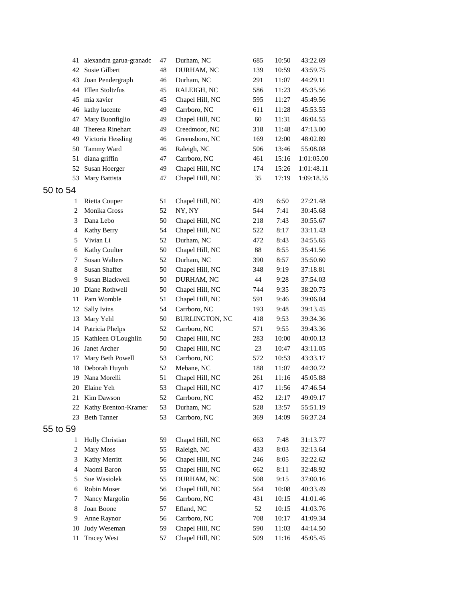| 41             | alexandra garua-granado | 47 | Durham, NC            | 685 | 10:50 | 43:22.69   |
|----------------|-------------------------|----|-----------------------|-----|-------|------------|
| 42             | <b>Susie Gilbert</b>    | 48 | DURHAM, NC            | 139 | 10:59 | 43:59.75   |
| 43             | Joan Pendergraph        | 46 | Durham, NC            | 291 | 11:07 | 44:29.11   |
| 44             | Ellen Stoltzfus         | 45 | RALEIGH, NC           | 586 | 11:23 | 45:35.56   |
| 45             | mia xavier              | 45 | Chapel Hill, NC       | 595 | 11:27 | 45:49.56   |
| 46             | kathy lucente           | 49 | Carrboro, NC          | 611 | 11:28 | 45:53.55   |
| 47             | Mary Buonfiglio         | 49 | Chapel Hill, NC       | 60  | 11:31 | 46:04.55   |
| 48             | Theresa Rinehart        | 49 | Creedmoor, NC         | 318 | 11:48 | 47:13.00   |
| 49             | Victoria Hessling       | 46 | Greensboro, NC        | 169 | 12:00 | 48:02.89   |
| 50             | Tammy Ward              | 46 | Raleigh, NC           | 506 | 13:46 | 55:08.08   |
| 51             | diana griffin           | 47 | Carrboro, NC          | 461 | 15:16 | 1:01:05.00 |
| 52             | Susan Hoerger           | 49 | Chapel Hill, NC       | 174 | 15:26 | 1:01:48.11 |
| 53             | Mary Battista           | 47 | Chapel Hill, NC       | 35  | 17:19 | 1:09:18.55 |
| to 54          |                         |    |                       |     |       |            |
| 1              | <b>Rietta Couper</b>    | 51 | Chapel Hill, NC       | 429 | 6:50  | 27:21.48   |
| $\overline{c}$ | Monika Gross            | 52 | NY, NY                | 544 | 7:41  | 30:45.68   |
| 3              | Dana Lebo               | 50 | Chapel Hill, NC       | 218 | 7:43  | 30:55.67   |
| $\overline{4}$ | Kathy Berry             | 54 | Chapel Hill, NC       | 522 | 8:17  | 33:11.43   |
| 5              | Vivian Li               | 52 | Durham, NC            | 472 | 8:43  | 34:55.65   |
| 6              | Kathy Coulter           | 50 | Chapel Hill, NC       | 88  | 8:55  | 35:41.56   |
| 7              | <b>Susan Walters</b>    | 52 | Durham, NC            | 390 | 8:57  | 35:50.60   |
| 8              | Susan Shaffer           | 50 | Chapel Hill, NC       | 348 | 9:19  | 37:18.81   |
| 9              | Susan Blackwell         | 50 | DURHAM, NC            | 44  | 9:28  | 37:54.03   |
| 10             | Diane Rothwell          | 50 | Chapel Hill, NC       | 744 | 9:35  | 38:20.75   |
| 11             | Pam Womble              | 51 | Chapel Hill, NC       | 591 | 9:46  | 39:06.04   |
| 12             | Sally Ivins             | 54 | Carrboro, NC          | 193 | 9:48  | 39:13.45   |
| 13             | Mary Yehl               | 50 | <b>BURLINGTON, NC</b> | 418 | 9:53  | 39:34.36   |
| 14             | Patricia Phelps         | 52 | Carrboro, NC          | 571 | 9:55  | 39:43.36   |
| 15             | Kathleen O'Loughlin     | 50 | Chapel Hill, NC       | 283 | 10:00 | 40:00.13   |
| 16             | Janet Archer            | 50 | Chapel Hill, NC       | 23  | 10:47 | 43:11.05   |
| 17             | Mary Beth Powell        | 53 | Carrboro, NC          | 572 | 10:53 | 43:33.17   |
| 18             | Deborah Huynh           | 52 | Mebane, NC            | 188 | 11:07 | 44:30.72   |
| 19             | Nana Morelli            | 51 | Chapel Hill, NC       | 261 | 11:16 | 45:05.88   |
| 20             | Elaine Yeh              | 53 | Chapel Hill, NC       | 417 | 11:56 | 47:46.54   |
| 21             | Kim Dawson              | 52 | Carrboro, NC          | 452 | 12:17 | 49:09.17   |
|                | 22 Kathy Brenton-Kramer | 53 | Durham, NC            | 528 | 13:57 | 55:51.19   |
| 23             | <b>Beth Tanner</b>      | 53 | Carrboro, NC          | 369 | 14:09 | 56:37.24   |
| to 59          |                         |    |                       |     |       |            |
| 1              | Holly Christian         | 59 | Chapel Hill, NC       | 663 | 7:48  | 31:13.77   |
| $\overline{c}$ | Mary Moss               | 55 | Raleigh, NC           | 433 | 8:03  | 32:13.64   |
| 3              | Kathy Merritt           | 56 | Chapel Hill, NC       | 246 | 8:05  | 32:22.62   |
| 4              | Naomi Baron             | 55 | Chapel Hill, NC       | 662 | 8:11  | 32:48.92   |
| 5              | Sue Wasiolek            | 55 | DURHAM, NC            | 508 | 9:15  | 37:00.16   |
| 6              | Robin Moser             | 56 | Chapel Hill, NC       | 564 | 10:08 | 40:33.49   |
| 7              | Nancy Margolin          | 56 | Carrboro, NC          | 431 | 10:15 | 41:01.46   |
| 8              | Joan Boone              | 57 | Efland, NC            | 52  | 10:15 | 41:03.76   |
| 9              | Anne Raynor             | 56 | Carrboro, NC          | 708 | 10:17 | 41:09.34   |
| 10             | Judy Weseman            | 59 | Chapel Hill, NC       | 590 | 11:03 | 44:14.50   |
| 11             | <b>Tracey West</b>      | 57 | Chapel Hill, NC       | 509 | 11:16 | 45:05.45   |
|                |                         |    |                       |     |       |            |

 $50<sub>5</sub>$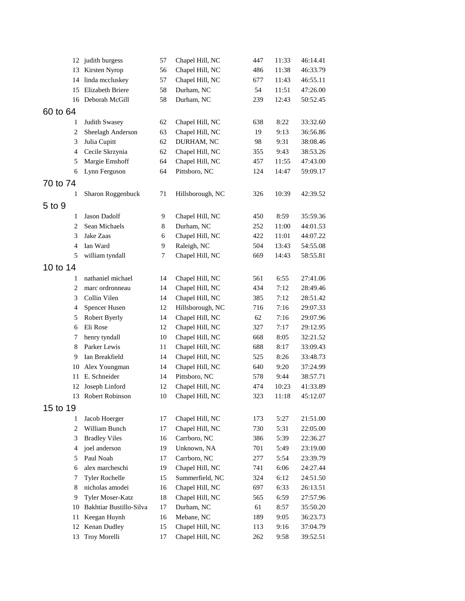|                | 12 judith burgess       | 57 | Chapel Hill, NC  | 447 | 11:33 | 46:14.41 |
|----------------|-------------------------|----|------------------|-----|-------|----------|
| 13             | Kirsten Nyrop           | 56 | Chapel Hill, NC  | 486 | 11:38 | 46:33.79 |
| 14             | linda mccluskey         | 57 | Chapel Hill, NC  | 677 | 11:43 | 46:55.11 |
| 15             | Elizabeth Briere        | 58 | Durham, NC       | 54  | 11:51 | 47:26.00 |
| 16             | Deborah McGill          | 58 | Durham, NC       | 239 | 12:43 | 50:52.45 |
| 60 to 64       |                         |    |                  |     |       |          |
| 1              | Judith Swasey           | 62 | Chapel Hill, NC  | 638 | 8:22  | 33:32.60 |
| $\overline{2}$ | Sheelagh Anderson       | 63 | Chapel Hill, NC  | 19  | 9:13  | 36:56.86 |
| 3              | Julia Cupitt            | 62 | DURHAM, NC       | 98  | 9:31  | 38:08.46 |
| $\overline{4}$ | Cecile Skrzynia         | 62 | Chapel Hill, NC  | 355 | 9:43  | 38:53.26 |
| 5              | Margie Emshoff          | 64 | Chapel Hill, NC  | 457 | 11:55 | 47:43.00 |
| 6              | Lynn Ferguson           | 64 | Pittsboro, NC    | 124 | 14:47 | 59:09.17 |
| 70 to 74       |                         |    |                  |     |       |          |
| 1              | Sharon Roggenbuck       | 71 | Hillsborough, NC | 326 | 10:39 | 42:39.52 |
| 5 to 9         |                         |    |                  |     |       |          |
| 1              | Jason Dadolf            | 9  | Chapel Hill, NC  | 450 | 8:59  | 35:59.36 |
| $\overline{2}$ | Sean Michaels           | 8  | Durham, NC       | 252 | 11:00 | 44:01.53 |
| 3              | Jake Zaas               | 6  | Chapel Hill, NC  | 422 | 11:01 | 44:07.22 |
| $\overline{4}$ | Ian Ward                | 9  | Raleigh, NC      | 504 | 13:43 | 54:55.08 |
| 5              | william tyndall         | 7  | Chapel Hill, NC  | 669 | 14:43 | 58:55.81 |
| 10 to 14       |                         |    |                  |     |       |          |
| 1              | nathaniel michael       | 14 | Chapel Hill, NC  | 561 | 6:55  | 27:41.06 |
| $\overline{2}$ | marc ordronneau         | 14 | Chapel Hill, NC  | 434 | 7:12  | 28:49.46 |
| 3              | Collin Vilen            | 14 | Chapel Hill, NC  | 385 | 7:12  | 28:51.42 |
| 4              | Spencer Husen           | 12 | Hillsborough, NC | 716 | 7:16  | 29:07.33 |
| 5              | Robert Byerly           | 14 | Chapel Hill, NC  | 62  | 7:16  | 29:07.96 |
| 6              | Eli Rose                | 12 | Chapel Hill, NC  | 327 | 7:17  | 29:12.95 |
| 7              | henry tyndall           | 10 | Chapel Hill, NC  | 668 | 8:05  | 32:21.52 |
| 8              | Parker Lewis            | 11 | Chapel Hill, NC  | 688 | 8:17  | 33:09.43 |
| 9              | Ian Breakfield          | 14 | Chapel Hill, NC  | 525 | 8:26  | 33:48.73 |
| 10             | Alex Youngman           | 14 | Chapel Hill, NC  | 640 | 9:20  | 37:24.99 |
| 11             | E. Schneider            | 14 | Pittsboro, NC    | 578 | 9:44  | 38:57.71 |
| 12             | Joseph Linford          | 12 | Chapel Hill, NC  | 474 | 10:23 | 41:33.89 |
|                | 13 Robert Robinson      | 10 | Chapel Hill, NC  | 323 | 11:18 | 45:12.07 |
| 15 to 19       |                         |    |                  |     |       |          |
| 1              | Jacob Hoerger           | 17 | Chapel Hill, NC  | 173 | 5:27  | 21:51.00 |
| $\overline{2}$ | William Bunch           | 17 | Chapel Hill, NC  | 730 | 5:31  | 22:05.00 |
| 3              | <b>Bradley Viles</b>    | 16 | Carrboro, NC     | 386 | 5:39  | 22:36.27 |
| 4              | joel anderson           | 19 | Unknown, NA      | 701 | 5:49  | 23:19.00 |
| 5              | Paul Noah               | 17 | Carrboro, NC     | 277 | 5:54  | 23:39.79 |
| 6              | alex marcheschi         | 19 | Chapel Hill, NC  | 741 | 6:06  | 24:27.44 |
| 7              | <b>Tyler Rochelle</b>   | 15 | Summerfield, NC  | 324 | 6:12  | 24:51.50 |
| 8              | nicholas amodei         | 16 | Chapel Hill, NC  | 697 | 6:33  | 26:13.51 |
| 9              | Tyler Moser-Katz        | 18 | Chapel Hill, NC  | 565 | 6:59  | 27:57.96 |
| 10             | Bakhtiar Bustillo-Silva | 17 | Durham, NC       | 61  | 8:57  | 35:50.20 |
| 11             | Keegan Huynh            | 16 | Mebane, NC       | 189 | 9:05  | 36:23.73 |
| 12             | Kenan Dudley            | 15 | Chapel Hill, NC  | 113 | 9:16  | 37:04.79 |
| 13             | Troy Morelli            | 17 | Chapel Hill, NC  | 262 | 9:58  | 39:52.51 |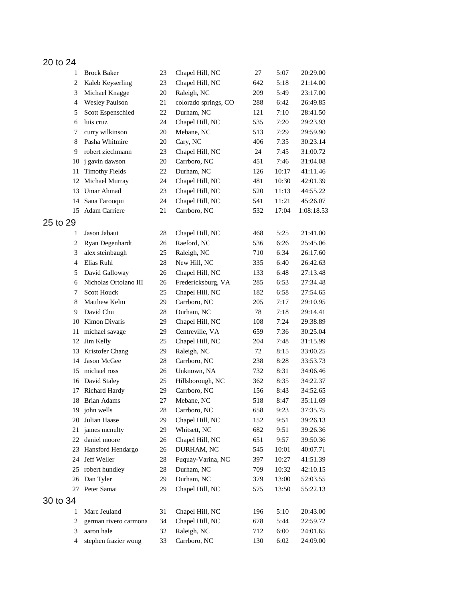## 20 to 24

| $\mathbf{1}$   | <b>Brock Baker</b>    | 23     | Chapel Hill, NC      | 27  | 5:07  | 20:29.00   |
|----------------|-----------------------|--------|----------------------|-----|-------|------------|
| $\overline{c}$ | Kaleb Keyserling      | 23     | Chapel Hill, NC      | 642 | 5:18  | 21:14.00   |
| 3              | Michael Knagge        | 20     | Raleigh, NC          | 209 | 5:49  | 23:17.00   |
| $\overline{4}$ | <b>Wesley Paulson</b> | 21     | colorado springs, CO | 288 | 6:42  | 26:49.85   |
| 5              | Scott Espenschied     | 22     | Durham, NC           | 121 | 7:10  | 28:41.50   |
| 6              | luis cruz             | 24     | Chapel Hill, NC      | 535 | 7:20  | 29:23.93   |
| 7              | curry wilkinson       | 20     | Mebane, NC           | 513 | 7:29  | 29:59.90   |
| 8              | Pasha Whitmire        | 20     | Cary, NC             | 406 | 7:35  | 30:23.14   |
| 9              | robert ziechmann      | 23     | Chapel Hill, NC      | 24  | 7:45  | 31:00.72   |
| 10             | j gavin dawson        | 20     | Carrboro, NC         | 451 | 7:46  | 31:04.08   |
| 11             | <b>Timothy Fields</b> | 22     | Durham, NC           | 126 | 10:17 | 41:11.46   |
| 12             | Michael Murray        | 24     | Chapel Hill, NC      | 481 | 10:30 | 42:01.39   |
| 13             | Umar Ahmad            | 23     | Chapel Hill, NC      | 520 | 11:13 | 44:55.22   |
| 14             | Sana Farooqui         | 24     | Chapel Hill, NC      | 541 | 11:21 | 45:26.07   |
| 15             | Adam Carriere         | 21     | Carrboro, NC         | 532 | 17:04 | 1:08:18.53 |
|                |                       |        |                      |     |       |            |
| 25 to 29       |                       |        |                      |     |       |            |
| 1              | Jason Jabaut          | $28\,$ | Chapel Hill, NC      | 468 | 5:25  | 21:41.00   |
| 2              | Ryan Degenhardt       | 26     | Raeford, NC          | 536 | 6:26  | 25:45.06   |
| 3              | alex steinbaugh       | 25     | Raleigh, NC          | 710 | 6:34  | 26:17.60   |
| $\overline{4}$ | Elias Ruhl            | 28     | New Hill, NC         | 335 | 6:40  | 26:42.63   |
| 5              | David Galloway        | 26     | Chapel Hill, NC      | 133 | 6:48  | 27:13.48   |
| 6              | Nicholas Ortolano III | 26     | Fredericksburg, VA   | 285 | 6:53  | 27:34.48   |
| 7              | Scott Houck           | 25     | Chapel Hill, NC      | 182 | 6:58  | 27:54.65   |
| 8              | Matthew Kelm          | 29     | Carrboro, NC         | 205 | 7:17  | 29:10.95   |
| 9              | David Chu             | 28     | Durham, NC           | 78  | 7:18  | 29:14.41   |
| 10             | Kimon Divaris         | 29     | Chapel Hill, NC      | 108 | 7:24  | 29:38.89   |
| 11             | michael savage        | 29     | Centreville, VA      | 659 | 7:36  | 30:25.04   |
| 12             | Jim Kelly             | 25     | Chapel Hill, NC      | 204 | 7:48  | 31:15.99   |
| 13             | Kristofer Chang       | 29     | Raleigh, NC          | 72  | 8:15  | 33:00.25   |
| 14             | Jason McGee           | 28     | Carrboro, NC         | 238 | 8:28  | 33:53.73   |
| 15             | michael ross          | 26     | Unknown, NA          | 732 | 8:31  | 34:06.46   |
|                | 16 David Staley       | 25     | Hillsborough, NC     | 362 | 8:35  | 34:22.37   |
| 17             | Richard Hardy         | 29     | Carrboro, NC         | 156 | 8:43  | 34:52.65   |
|                | 18 Brian Adams        | 27     | Mebane, NC           | 518 | 8:47  | 35:11.69   |
|                | 19 john wells         | $28\,$ | Carrboro, NC         | 658 | 9:23  | 37:35.75   |
| 20             | Julian Haase          | 29     | Chapel Hill, NC      | 152 | 9:51  | 39:26.13   |
| 21             | james menulty         | 29     | Whitsett, NC         | 682 | 9:51  | 39:26.36   |
| 22             | daniel moore          | 26     | Chapel Hill, NC      | 651 | 9:57  | 39:50.36   |
| 23             | Hansford Hendargo     | 26     | DURHAM, NC           | 545 | 10:01 | 40:07.71   |
| 24             | Jeff Weller           | 28     | Fuquay-Varina, NC    | 397 | 10:27 | 41:51.39   |
| 25             | robert hundley        | 28     | Durham, NC           | 709 | 10:32 | 42:10.15   |
| 26             | Dan Tyler             | 29     | Durham, NC           | 379 | 13:00 | 52:03.55   |
| 27             | Peter Samai           | 29     | Chapel Hill, NC      | 575 | 13:50 | 55:22.13   |
|                |                       |        |                      |     |       |            |
| 30 to 34       |                       |        |                      |     |       |            |
| 1              | Marc Jeuland          | 31     | Chapel Hill, NC      | 196 | 5:10  | 20:43.00   |
| 2              | german rivero carmona | 34     | Chapel Hill, NC      | 678 | 5:44  | 22:59.72   |
| 3              | aaron hale            | 32     | Raleigh, NC          | 712 | 6:00  | 24:01.65   |
| 4              | stephen frazier wong  | 33     | Carrboro, NC         | 130 | 6:02  | 24:09.00   |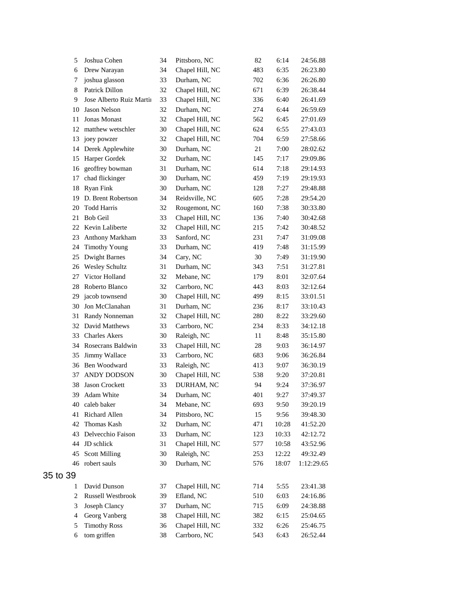| 5              | Joshua Cohen             | 34 | Pittsboro, NC   | 82  | 6:14  | 24:56.88   |
|----------------|--------------------------|----|-----------------|-----|-------|------------|
| 6              | Drew Narayan             | 34 | Chapel Hill, NC | 483 | 6:35  | 26:23.80   |
| 7              | joshua glasson           | 33 | Durham, NC      | 702 | 6:36  | 26:26.80   |
| 8              | Patrick Dillon           | 32 | Chapel Hill, NC | 671 | 6:39  | 26:38.44   |
| 9              | Jose Alberto Ruiz Martii | 33 | Chapel Hill, NC | 336 | 6:40  | 26:41.69   |
| 10             | Jason Nelson             | 32 | Durham, NC      | 274 | 6:44  | 26:59.69   |
| 11             | Jonas Monast             | 32 | Chapel Hill, NC | 562 | 6:45  | 27:01.69   |
| 12             | matthew wetschler        | 30 | Chapel Hill, NC | 624 | 6:55  | 27:43.03   |
| 13             | joey powzer              | 32 | Chapel Hill, NC | 704 | 6:59  | 27:58.66   |
| 14             | Derek Applewhite         | 30 | Durham, NC      | 21  | 7:00  | 28:02.62   |
| 15             | Harper Gordek            | 32 | Durham, NC      | 145 | 7:17  | 29:09.86   |
| 16             | geoffrey bowman          | 31 | Durham, NC      | 614 | 7:18  | 29:14.93   |
| 17             | chad flickinger          | 30 | Durham, NC      | 459 | 7:19  | 29:19.93   |
| 18             | <b>Ryan Fink</b>         | 30 | Durham, NC      | 128 | 7:27  | 29:48.88   |
| 19             | D. Brent Robertson       | 34 | Reidsville, NC  | 605 | 7:28  | 29:54.20   |
| 20             | <b>Todd Harris</b>       | 32 | Rougemont, NC   | 160 | 7:38  | 30:33.80   |
| 21             | <b>Bob Geil</b>          | 33 | Chapel Hill, NC | 136 | 7:40  | 30:42.68   |
| 22             | Kevin Laliberte          | 32 | Chapel Hill, NC | 215 | 7:42  | 30:48.52   |
| 23             | Anthony Markham          | 33 | Sanford, NC     | 231 | 7:47  | 31:09.08   |
| 24             | <b>Timothy Young</b>     | 33 | Durham, NC      | 419 | 7:48  | 31:15.99   |
| 25             | <b>Dwight Barnes</b>     | 34 | Cary, NC        | 30  | 7:49  | 31:19.90   |
| 26             | <b>Wesley Schultz</b>    | 31 | Durham, NC      | 343 | 7:51  | 31:27.81   |
| 27             | Victor Holland           | 32 | Mebane, NC      | 179 | 8:01  | 32:07.64   |
| 28             | Roberto Blanco           | 32 | Carrboro, NC    | 443 | 8:03  | 32:12.64   |
| 29             | jacob townsend           | 30 | Chapel Hill, NC | 499 | 8:15  | 33:01.51   |
| 30             | Jon McClanahan           | 31 | Durham, NC      | 236 | 8:17  | 33:10.43   |
| 31             | Randy Nonneman           | 32 | Chapel Hill, NC | 280 | 8:22  | 33:29.60   |
| 32             | David Matthews           | 33 | Carrboro, NC    | 234 | 8:33  | 34:12.18   |
| 33             | <b>Charles Akers</b>     | 30 | Raleigh, NC     | 11  | 8:48  | 35:15.80   |
| 34             | Rosecrans Baldwin        | 33 | Chapel Hill, NC | 28  | 9:03  | 36:14.97   |
| 35             | Jimmy Wallace            | 33 | Carrboro, NC    | 683 | 9:06  | 36:26.84   |
| 36             | Ben Woodward             | 33 | Raleigh, NC     | 413 | 9:07  | 36:30.19   |
| 37             | ANDY DODSON              | 30 | Chapel Hill, NC | 538 | 9:20  | 37:20.81   |
| 38             | Jason Crockett           | 33 | DURHAM, NC      | 94  | 9:24  | 37:36.97   |
| 39             | Adam White               | 34 | Durham, NC      | 401 | 9:27  | 37:49.37   |
| 40             | caleb baker              | 34 | Mebane, NC      | 693 | 9:50  | 39:20.19   |
| 41             | Richard Allen            | 34 | Pittsboro, NC   | 15  | 9:56  | 39:48.30   |
| 42             | Thomas Kash              | 32 | Durham, NC      | 471 | 10:28 | 41:52.20   |
| 43             | Delvecchio Faison        | 33 | Durham, NC      | 123 | 10:33 | 42:12.72   |
| 44             | JD schlick               | 31 | Chapel Hill, NC | 577 | 10:58 | 43:52.96   |
| 45             | <b>Scott Milling</b>     | 30 | Raleigh, NC     | 253 | 12:22 | 49:32.49   |
| 46             | robert sauls             | 30 | Durham, NC      | 576 | 18:07 | 1:12:29.65 |
| 35 to 39       |                          |    |                 |     |       |            |
| 1              | David Dunson             | 37 | Chapel Hill, NC | 714 | 5:55  | 23:41.38   |
| $\overline{c}$ | Russell Westbrook        | 39 | Efland, NC      | 510 | 6:03  | 24:16.86   |
| 3              | Joseph Clancy            | 37 | Durham, NC      | 715 | 6:09  | 24:38.88   |
| 4              | Georg Vanberg            | 38 | Chapel Hill, NC | 382 | 6:15  | 25:04.65   |
| 5              | <b>Timothy Ross</b>      | 36 | Chapel Hill, NC | 332 | 6:26  | 25:46.75   |
| 6              | tom griffen              | 38 | Carrboro, NC    | 543 | 6:43  | 26:52.44   |
|                |                          |    |                 |     |       |            |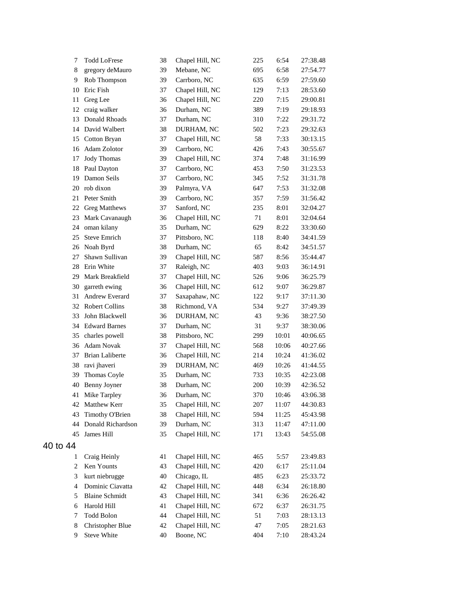| 7        | <b>Todd LoFrese</b>    | 38 | Chapel Hill, NC | 225 | 6:54  | 27:38.48 |
|----------|------------------------|----|-----------------|-----|-------|----------|
| 8        | gregory deMauro        | 39 | Mebane, NC      | 695 | 6:58  | 27:54.77 |
| 9        | Rob Thompson           | 39 | Carrboro, NC    | 635 | 6:59  | 27:59.60 |
| 10       | Eric Fish              | 37 | Chapel Hill, NC | 129 | 7:13  | 28:53.60 |
| 11       | Greg Lee               | 36 | Chapel Hill, NC | 220 | 7:15  | 29:00.81 |
| 12       | craig walker           | 36 | Durham, NC      | 389 | 7:19  | 29:18.93 |
| 13       | Donald Rhoads          | 37 | Durham, NC      | 310 | 7:22  | 29:31.72 |
| 14       | David Walbert          | 38 | DURHAM, NC      | 502 | 7:23  | 29:32.63 |
| 15       | Cotton Bryan           | 37 | Chapel Hill, NC | 58  | 7:33  | 30:13.15 |
| 16       | Adam Zolotor           | 39 | Carrboro, NC    | 426 | 7:43  | 30:55.67 |
| 17       | <b>Jody Thomas</b>     | 39 | Chapel Hill, NC | 374 | 7:48  | 31:16.99 |
| 18       | Paul Dayton            | 37 | Carrboro, NC    | 453 | 7:50  | 31:23.53 |
| 19       | Damon Seils            | 37 | Carrboro, NC    | 345 | 7:52  | 31:31.78 |
| 20       | rob dixon              | 39 | Palmyra, VA     | 647 | 7:53  | 31:32.08 |
| 21       | Peter Smith            | 39 | Carrboro, NC    | 357 | 7:59  | 31:56.42 |
| 22       | <b>Greg Matthews</b>   | 37 | Sanford, NC     | 235 | 8:01  | 32:04.27 |
| 23       | Mark Cavanaugh         | 36 | Chapel Hill, NC | 71  | 8:01  | 32:04.64 |
| 24       | oman kilany            | 35 | Durham, NC      | 629 | 8:22  | 33:30.60 |
| 25       | <b>Steve Emrich</b>    | 37 | Pittsboro, NC   | 118 | 8:40  | 34:41.59 |
| 26       | Noah Byrd              | 38 | Durham, NC      | 65  | 8:42  | 34:51.57 |
| 27       | Shawn Sullivan         | 39 | Chapel Hill, NC | 587 | 8:56  | 35:44.47 |
| 28       | Erin White             | 37 | Raleigh, NC     | 403 | 9:03  | 36:14.91 |
| 29       | Mark Breakfield        | 37 | Chapel Hill, NC | 526 | 9:06  | 36:25.79 |
| 30       | garreth ewing          | 36 | Chapel Hill, NC | 612 | 9:07  | 36:29.87 |
| 31       | Andrew Everard         | 37 | Saxapahaw, NC   | 122 | 9:17  | 37:11.30 |
| 32       | <b>Robert Collins</b>  | 38 | Richmond, VA    | 534 | 9:27  | 37:49.39 |
| 33       | John Blackwell         | 36 | DURHAM, NC      | 43  | 9:36  | 38:27.50 |
| 34       | <b>Edward Barnes</b>   | 37 | Durham, NC      | 31  | 9:37  | 38:30.06 |
| 35       | charles powell         | 38 | Pittsboro, NC   | 299 | 10:01 | 40:06.65 |
| 36       | <b>Adam Novak</b>      | 37 | Chapel Hill, NC | 568 | 10:06 | 40:27.66 |
| 37       | <b>Brian Laliberte</b> | 36 | Chapel Hill, NC | 214 | 10:24 | 41:36.02 |
| 38       | ravi jhaveri           | 39 | DURHAM, NC      | 469 | 10:26 | 41:44.55 |
| 39       | Thomas Coyle           | 35 | Durham, NC      | 733 | 10:35 | 42:23.08 |
| 40       | Benny Joyner           | 38 | Durham, NC      | 200 | 10:39 | 42:36.52 |
|          | 41 Mike Tarpley        | 36 | Durham, NC      | 370 | 10:46 | 43:06.38 |
|          | 42 Matthew Kerr        | 35 | Chapel Hill, NC | 207 | 11:07 | 44:30.83 |
| 43       | Timothy O'Brien        | 38 | Chapel Hill, NC | 594 | 11:25 | 45:43.98 |
| 44       | Donald Richardson      | 39 | Durham, NC      | 313 | 11:47 | 47:11.00 |
| 45       | James Hill             | 35 | Chapel Hill, NC | 171 | 13:43 | 54:55.08 |
| 40 to 44 |                        |    |                 |     |       |          |
|          |                        |    |                 |     |       |          |
| 1        | Craig Heinly           | 41 | Chapel Hill, NC | 465 | 5:57  | 23:49.83 |
| 2        | Ken Younts             | 43 | Chapel Hill, NC | 420 | 6:17  | 25:11.04 |
| 3        | kurt niebrugge         | 40 | Chicago, IL     | 485 | 6:23  | 25:33.72 |
| 4        | Dominic Ciavatta       | 42 | Chapel Hill, NC | 448 | 6:34  | 26:18.80 |
| 5        | <b>Blaine Schmidt</b>  | 43 | Chapel Hill, NC | 341 | 6:36  | 26:26.42 |
| 6        | Harold Hill            | 41 | Chapel Hill, NC | 672 | 6:37  | 26:31.75 |
| 7        | <b>Todd Bolon</b>      | 44 | Chapel Hill, NC | 51  | 7:03  | 28:13.13 |
| 8        | Christopher Blue       | 42 | Chapel Hill, NC | 47  | 7:05  | 28:21.63 |
| 9        | <b>Steve White</b>     | 40 | Boone, NC       | 404 | 7:10  | 28:43.24 |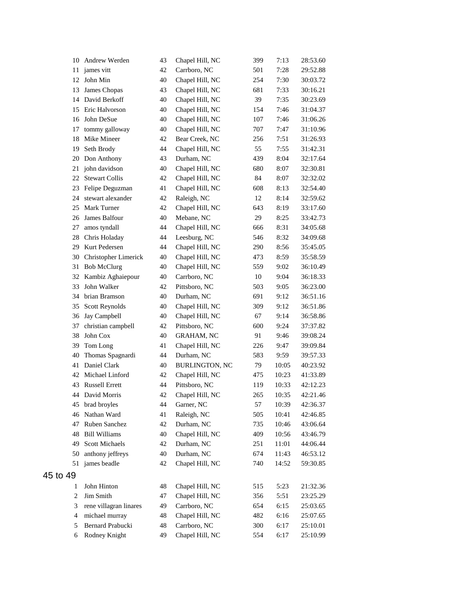|                | 10 Andrew Werden                         | 43       | Chapel Hill, NC                 | 399        | 7:13         | 28:53.60             |
|----------------|------------------------------------------|----------|---------------------------------|------------|--------------|----------------------|
| 11             | james vitt                               | 42       | Carrboro, NC                    | 501        | 7:28         | 29:52.88             |
| 12             | John Min                                 | 40       | Chapel Hill, NC                 | 254        | 7:30         | 30:03.72             |
| 13             | James Chopas                             | 43       | Chapel Hill, NC                 | 681        | 7:33         | 30:16.21             |
|                | 14 David Berkoff                         | 40       | Chapel Hill, NC                 | 39         | 7:35         | 30:23.69             |
|                | 15 Eric Halvorson                        | 40       | Chapel Hill, NC                 | 154        | 7:46         | 31:04.37             |
| 16             | John DeSue                               | 40       | Chapel Hill, NC                 | 107        | 7:46         | 31:06.26             |
| 17             | tommy galloway                           | 40       | Chapel Hill, NC                 | 707        | 7:47         | 31:10.96             |
| 18             | Mike Mineer                              | 42       | Bear Creek, NC                  | 256        | 7:51         | 31:26.93             |
| 19             | Seth Brody                               | 44       | Chapel Hill, NC                 | 55         | 7:55         | 31:42.31             |
| 20             | Don Anthony                              | 43       | Durham, NC                      | 439        | 8:04         | 32:17.64             |
| 21             | john davidson                            | 40       | Chapel Hill, NC                 | 680        | 8:07         | 32:30.81             |
| 22             | <b>Stewart Collis</b>                    | 42       | Chapel Hill, NC                 | 84         | 8:07         | 32:32.02             |
| 23             | Felipe Deguzman                          | 41       | Chapel Hill, NC                 | 608        | 8:13         | 32:54.40             |
| 24             | stewart alexander                        | 42       | Raleigh, NC                     | 12         | 8:14         | 32:59.62             |
| 25             | Mark Turner                              | 42       | Chapel Hill, NC                 | 643        | 8:19         | 33:17.60             |
| 26             | James Balfour                            | 40       | Mebane, NC                      | 29         | 8:25         | 33:42.73             |
| 27             | amos tyndall                             | 44       | Chapel Hill, NC                 | 666        | 8:31         | 34:05.68             |
|                | 28 Chris Holaday                         | 44       | Leesburg, NC                    | 546        | 8:32         | 34:09.68             |
| 29             | Kurt Pedersen                            | 44       | Chapel Hill, NC                 | 290        | 8:56         | 35:45.05             |
| 30             | Christopher Limerick                     | 40       | Chapel Hill, NC                 | 473        | 8:59         | 35:58.59             |
| 31             | <b>Bob McClurg</b>                       | 40       | Chapel Hill, NC                 | 559        | 9:02         | 36:10.49             |
| 32             | Kambiz Aghaiepour                        | 40       | Carrboro, NC                    | 10         | 9:04         | 36:18.33             |
| 33             | John Walker                              | 42       | Pittsboro, NC                   | 503        | 9:05         | 36:23.00             |
| 34             | brian Bramson                            | 40       | Durham, NC                      | 691        | 9:12         | 36:51.16             |
| 35             | Scott Reynolds                           | 40       | Chapel Hill, NC                 | 309        | 9:12         | 36:51.86             |
| 36             | Jay Campbell                             | 40       | Chapel Hill, NC                 | 67         | 9:14         | 36:58.86             |
| 37             | christian campbell                       | 42       | Pittsboro, NC                   | 600        | 9:24         | 37:37.82             |
| 38             | John Cox                                 | 40       | <b>GRAHAM, NC</b>               | 91         | 9:46         | 39:08.24             |
| 39             | Tom Long                                 | 41       | Chapel Hill, NC                 | 226        | 9:47         | 39:09.84             |
| 40             | Thomas Spagnardi                         | 44       | Durham, NC                      | 583        | 9:59         | 39:57.33             |
| 41             | Daniel Clark                             | 40       | <b>BURLINGTON, NC</b>           | 79         | 10:05        | 40:23.92             |
|                | 42 Michael Linford                       | 42       | Chapel Hill, NC                 | 475        | 10:23        | 41:33.89             |
| 43             | <b>Russell Errett</b>                    | 44       | Pittsboro, NC                   | 119        | 10:33        | 42:12.23             |
|                | 44 David Morris                          | 42       | Chapel Hill, NC                 | 265        | 10:35        | 42:21.46             |
|                | 45 brad broyles                          | 44       | Garner, NC                      | 57         | 10:39        | 42:36.37             |
| 46             | Nathan Ward                              | 41       | Raleigh, NC                     | 505        | 10:41        | 42:46.85             |
| 47             | Ruben Sanchez                            | 42       | Durham, NC                      | 735        | 10:46        | 43:06.64             |
| 48             | <b>Bill Williams</b>                     | 40       | Chapel Hill, NC                 | 409        | 10:56        | 43:46.79             |
| 49             | <b>Scott Michaels</b>                    | 42       | Durham, NC                      | 251        | 11:01        | 44:06.44             |
| 50             | anthony jeffreys                         | 40       | Durham, NC                      | 674        | 11:43        | 46:53.12             |
| 51             | james beadle                             | 42       | Chapel Hill, NC                 | 740        | 14:52        | 59:30.85             |
| 45 to 49       |                                          |          |                                 |            |              |                      |
|                | John Hinton                              | 48       |                                 |            |              | 21:32.36             |
| 1              | Jim Smith                                | 47       | Chapel Hill, NC                 | 515        | 5:23         |                      |
| $\overline{c}$ |                                          |          | Chapel Hill, NC                 | 356        | 5:51         | 23:25.29             |
| 3<br>4         | rene villagran linares<br>michael murray | 49<br>48 | Carrboro, NC<br>Chapel Hill, NC | 654        | 6:15         | 25:03.65<br>25:07.65 |
| 5              | Bernard Prabucki                         | 48       | Carrboro, NC                    | 482<br>300 | 6:16<br>6:17 | 25:10.01             |
| 6              | Rodney Knight                            | 49       | Chapel Hill, NC                 | 554        | 6:17         | 25:10.99             |
|                |                                          |          |                                 |            |              |                      |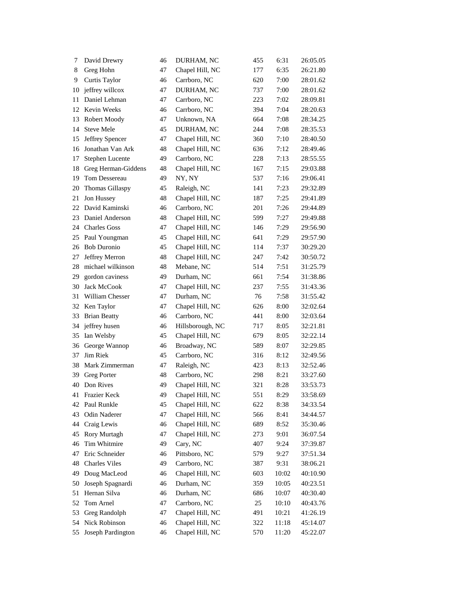| 7  | David Drewry         | 46 | DURHAM, NC       | 455 | 6:31  | 26:05.05 |
|----|----------------------|----|------------------|-----|-------|----------|
| 8  | Greg Hohn            | 47 | Chapel Hill, NC  | 177 | 6:35  | 26:21.80 |
| 9  | Curtis Taylor        | 46 | Carrboro, NC     | 620 | 7:00  | 28:01.62 |
| 10 | jeffrey willcox      | 47 | DURHAM, NC       | 737 | 7:00  | 28:01.62 |
| 11 | Daniel Lehman        | 47 | Carrboro, NC     | 223 | 7:02  | 28:09.81 |
| 12 | Kevin Weeks          | 46 | Carrboro, NC     | 394 | 7:04  | 28:20.63 |
| 13 | Robert Moody         | 47 | Unknown, NA      | 664 | 7:08  | 28:34.25 |
| 14 | <b>Steve Mele</b>    | 45 | DURHAM, NC       | 244 | 7:08  | 28:35.53 |
| 15 | Jeffrey Spencer      | 47 | Chapel Hill, NC  | 360 | 7:10  | 28:40.50 |
| 16 | Jonathan Van Ark     | 48 | Chapel Hill, NC  | 636 | 7:12  | 28:49.46 |
| 17 | Stephen Lucente      | 49 | Carrboro, NC     | 228 | 7:13  | 28:55.55 |
| 18 | Greg Herman-Giddens  | 48 | Chapel Hill, NC  | 167 | 7:15  | 29:03.88 |
| 19 | Tom Dessereau        | 49 | NY, NY           | 537 | 7:16  | 29:06.41 |
| 20 | Thomas Gillaspy      | 45 | Raleigh, NC      | 141 | 7:23  | 29:32.89 |
| 21 | Jon Hussey           | 48 | Chapel Hill, NC  | 187 | 7:25  | 29:41.89 |
| 22 | David Kaminski       | 46 | Carrboro, NC     | 201 | 7:26  | 29:44.89 |
| 23 | Daniel Anderson      | 48 | Chapel Hill, NC  | 599 | 7:27  | 29:49.88 |
| 24 | <b>Charles Goss</b>  | 47 | Chapel Hill, NC  | 146 | 7:29  | 29:56.90 |
| 25 | Paul Youngman        | 45 | Chapel Hill, NC  | 641 | 7:29  | 29:57.90 |
| 26 | <b>Bob Duronio</b>   | 45 | Chapel Hill, NC  | 114 | 7:37  | 30:29.20 |
| 27 | Jeffrey Merron       | 48 | Chapel Hill, NC  | 247 | 7:42  | 30:50.72 |
| 28 | michael wilkinson    | 48 | Mebane, NC       | 514 | 7:51  | 31:25.79 |
| 29 | gordon caviness      | 49 | Durham, NC       | 661 | 7:54  | 31:38.86 |
| 30 | Jack McCook          | 47 | Chapel Hill, NC  | 237 | 7:55  | 31:43.36 |
| 31 | William Chesser      | 47 | Durham, NC       | 76  | 7:58  | 31:55.42 |
| 32 | Ken Taylor           | 47 | Chapel Hill, NC  | 626 | 8:00  | 32:02.64 |
| 33 | <b>Brian Beatty</b>  | 46 | Carrboro, NC     | 441 | 8:00  | 32:03.64 |
| 34 | jeffrey husen        | 46 | Hillsborough, NC | 717 | 8:05  | 32:21.81 |
| 35 | Ian Welsby           | 45 | Chapel Hill, NC  | 679 | 8:05  | 32:22.14 |
| 36 | George Wannop        | 46 | Broadway, NC     | 589 | 8:07  | 32:29.85 |
| 37 | Jim Riek             | 45 | Carrboro, NC     | 316 | 8:12  | 32:49.56 |
| 38 | Mark Zimmerman       | 47 | Raleigh, NC      | 423 | 8:13  | 32:52.46 |
| 39 | <b>Greg Porter</b>   | 48 | Carrboro, NC     | 298 | 8:21  | 33:27.60 |
| 40 | Don Rives            | 49 | Chapel Hill, NC  | 321 | 8:28  | 33:53.73 |
| 41 | Frazier Keck         | 49 | Chapel Hill, NC  | 551 | 8:29  | 33:58.69 |
| 42 | Paul Runkle          | 45 | Chapel Hill, NC  | 622 | 8:38  | 34:33.54 |
| 43 | Odin Naderer         | 47 | Chapel Hill, NC  | 566 | 8:41  | 34:44.57 |
| 44 | Craig Lewis          | 46 | Chapel Hill, NC  | 689 | 8:52  | 35:30.46 |
| 45 | Rory Murtagh         | 47 | Chapel Hill, NC  | 273 | 9:01  | 36:07.54 |
| 46 | Tim Whitmire         | 49 | Cary, NC         | 407 | 9:24  | 37:39.87 |
| 47 | Eric Schneider       | 46 | Pittsboro, NC    | 579 | 9:27  | 37:51.34 |
| 48 | <b>Charles Viles</b> | 49 | Carrboro, NC     | 387 | 9:31  | 38:06.21 |
| 49 | Doug MacLeod         | 46 | Chapel Hill, NC  | 603 | 10:02 | 40:10.90 |
| 50 | Joseph Spagnardi     | 46 | Durham, NC       | 359 | 10:05 | 40:23.51 |
| 51 | Hernan Silva         | 46 | Durham, NC       | 686 | 10:07 | 40:30.40 |
| 52 | Tom Arnel            | 47 | Carrboro, NC     | 25  | 10:10 | 40:43.76 |
| 53 | Greg Randolph        | 47 | Chapel Hill, NC  | 491 | 10:21 | 41:26.19 |
| 54 | Nick Robinson        | 46 | Chapel Hill, NC  | 322 | 11:18 | 45:14.07 |
| 55 | Joseph Pardington    | 46 | Chapel Hill, NC  | 570 | 11:20 | 45:22.07 |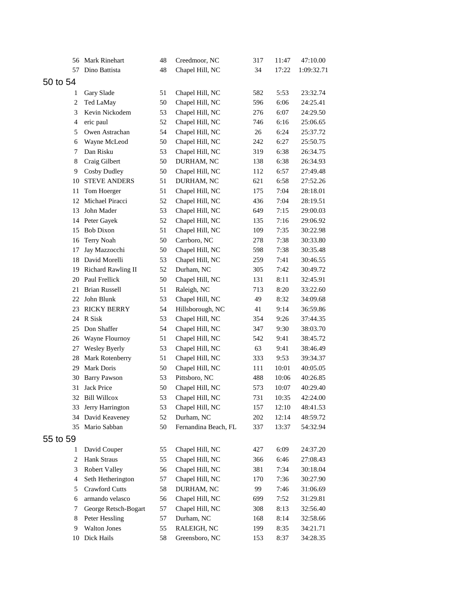| 56             | Mark Rinehart         | 48 | Creedmoor, NC        | 317 | 11:47 | 47:10.00   |
|----------------|-----------------------|----|----------------------|-----|-------|------------|
| 57             | Dino Battista         | 48 | Chapel Hill, NC      | 34  | 17:22 | 1:09:32.71 |
| 50 to 54       |                       |    |                      |     |       |            |
| 1              | Gary Slade            | 51 | Chapel Hill, NC      | 582 | 5:53  | 23:32.74   |
| $\overline{c}$ | Ted LaMay             | 50 | Chapel Hill, NC      | 596 | 6:06  | 24:25.41   |
| 3              | Kevin Nickodem        | 53 | Chapel Hill, NC      | 276 | 6:07  | 24:29.50   |
| 4              | eric paul             | 52 | Chapel Hill, NC      | 746 | 6:16  | 25:06.65   |
| 5              | Owen Astrachan        | 54 | Chapel Hill, NC      | 26  | 6:24  | 25:37.72   |
| 6              | Wayne McLeod          | 50 | Chapel Hill, NC      | 242 | 6:27  | 25:50.75   |
| 7              | Dan Risku             | 53 | Chapel Hill, NC      | 319 | 6:38  | 26:34.75   |
| 8              | Craig Gilbert         | 50 | DURHAM, NC           | 138 | 6:38  | 26:34.93   |
| 9              | Cosby Dudley          | 50 | Chapel Hill, NC      | 112 | 6:57  | 27:49.48   |
| 10             | <b>STEVE ANDERS</b>   | 51 | DURHAM, NC           | 621 | 6:58  | 27:52.26   |
| 11             | Tom Hoerger           | 51 | Chapel Hill, NC      | 175 | 7:04  | 28:18.01   |
| 12             | Michael Piracci       | 52 | Chapel Hill, NC      | 436 | 7:04  | 28:19.51   |
| 13             | John Mader            | 53 | Chapel Hill, NC      | 649 | 7:15  | 29:00.03   |
| 14             | Peter Gayek           | 52 | Chapel Hill, NC      | 135 | 7:16  | 29:06.92   |
| 15             | <b>Bob Dixon</b>      | 51 | Chapel Hill, NC      | 109 | 7:35  | 30:22.98   |
| 16             | Terry Noah            | 50 | Carrboro, NC         | 278 | 7:38  | 30:33.80   |
| 17             | Jay Mazzocchi         | 50 | Chapel Hill, NC      | 598 | 7:38  | 30:35.48   |
| 18             | David Morelli         | 53 | Chapel Hill, NC      | 259 | 7:41  | 30:46.55   |
|                | 19 Richard Rawling II | 52 | Durham, NC           | 305 | 7:42  | 30:49.72   |
| 20             | Paul Frellick         | 50 | Chapel Hill, NC      | 131 | 8:11  | 32:45.91   |
| 21             | <b>Brian Russell</b>  | 51 | Raleigh, NC          | 713 | 8:20  | 33:22.60   |
| 22             | John Blunk            | 53 | Chapel Hill, NC      | 49  | 8:32  | 34:09.68   |
| 23             | <b>RICKY BERRY</b>    | 54 | Hillsborough, NC     | 41  | 9:14  | 36:59.86   |
| 24             | R Sisk                | 53 | Chapel Hill, NC      | 354 | 9:26  | 37:44.35   |
| 25             | Don Shaffer           | 54 | Chapel Hill, NC      | 347 | 9:30  | 38:03.70   |
| 26             | Wayne Flournoy        | 51 | Chapel Hill, NC      | 542 | 9:41  | 38:45.72   |
| 27             | Wesley Byerly         | 53 | Chapel Hill, NC      | 63  | 9:41  | 38:46.49   |
| 28             | Mark Rotenberry       | 51 | Chapel Hill, NC      | 333 | 9:53  | 39:34.37   |
| 29             | Mark Doris            | 50 | Chapel Hill, NC      | 111 | 10:01 | 40:05.05   |
| 30             | <b>Barry Pawson</b>   | 53 | Pittsboro, NC        | 488 | 10:06 | 40:26.85   |
|                | 31 Jack Price         | 50 | Chapel Hill, NC      | 573 | 10:07 | 40:29.40   |
|                | 32 Bill Willcox       | 53 | Chapel Hill, NC      | 731 | 10:35 | 42:24.00   |
| 33             | Jerry Harrington      | 53 | Chapel Hill, NC      | 157 | 12:10 | 48:41.53   |
| 34             | David Keaveney        | 52 | Durham, NC           | 202 | 12:14 | 48:59.72   |
| 35             | Mario Sabban          | 50 | Fernandina Beach, FL | 337 | 13:37 | 54:32.94   |
| 55 to 59       |                       |    |                      |     |       |            |
| 1              | David Couper          | 55 | Chapel Hill, NC      | 427 | 6:09  | 24:37.20   |
| 2              | Hank Straus           | 55 | Chapel Hill, NC      | 366 | 6:46  | 27:08.43   |
| 3              | <b>Robert Valley</b>  | 56 | Chapel Hill, NC      | 381 | 7:34  | 30:18.04   |
| 4              | Seth Hetherington     | 57 | Chapel Hill, NC      | 170 | 7:36  | 30:27.90   |
| 5              | Crawford Cutts        | 58 | DURHAM, NC           | 99  | 7:46  | 31:06.69   |
| 6              | armando velasco       | 56 | Chapel Hill, NC      | 699 | 7:52  | 31:29.81   |
| 7              | George Retsch-Bogart  | 57 | Chapel Hill, NC      | 308 | 8:13  | 32:56.40   |
| 8              | Peter Hessling        | 57 | Durham, NC           | 168 | 8:14  | 32:58.66   |
| 9              | <b>Walton Jones</b>   | 55 | RALEIGH, NC          | 199 | 8:35  | 34:21.71   |
| 10             | Dick Hails            | 58 | Greensboro, NC       | 153 | 8:37  | 34:28.35   |
|                |                       |    |                      |     |       |            |